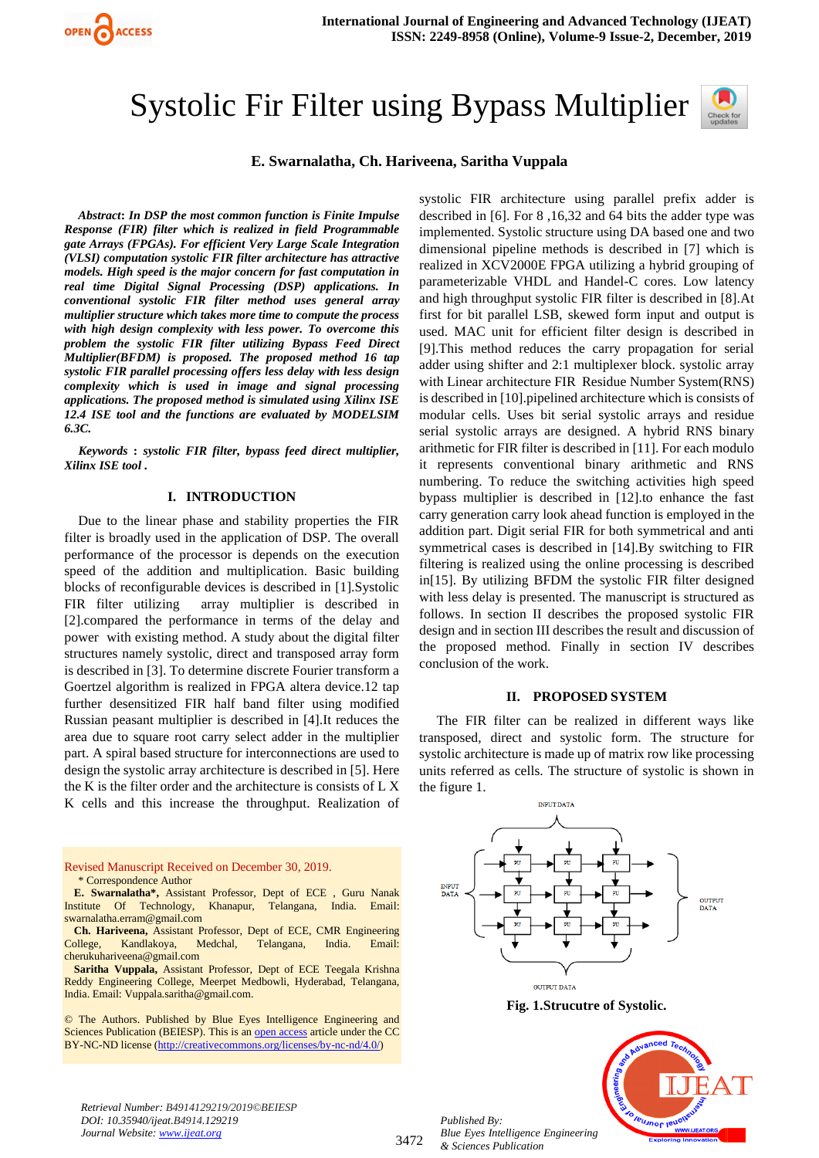

# Systolic Fir Filter using Bypass Multiplier



## **E. Swarnalatha, Ch. Hariveena, Saritha Vuppala**

*Abstract***:** *In DSP the most common function is Finite Impulse Response (FIR) filter which is realized in field Programmable gate Arrays (FPGAs). For efficient Very Large Scale Integration (VLSI) computation systolic FIR filter architecture has attractive models. High speed is the major concern for fast computation in real time Digital Signal Processing (DSP) applications. In conventional systolic FIR filter method uses general array multiplier structure which takes more time to compute the process with high design complexity with less power. To overcome this problem the systolic FIR filter utilizing Bypass Feed Direct Multiplier(BFDM) is proposed. The proposed method 16 tap systolic FIR parallel processing offers less delay with less design complexity which is used in image and signal processing applications. The proposed method is simulated using Xilinx ISE 12.4 ISE tool and the functions are evaluated by MODELSIM 6.3C.* 

*Keywords* **:** *systolic FIR filter, bypass feed direct multiplier, Xilinx ISE tool .* 

#### **I. INTRODUCTION**

Due to the linear phase and stability properties the FIR filter is broadly used in the application of DSP. The overall performance of the processor is depends on the execution speed of the addition and multiplication. Basic building blocks of reconfigurable devices is described in [1].Systolic FIR filter utilizing array multiplier is described in [2].compared the performance in terms of the delay and power with existing method. A study about the digital filter structures namely systolic, direct and transposed array form is described in [3]. To determine discrete Fourier transform a Goertzel algorithm is realized in FPGA altera device.12 tap further desensitized FIR half band filter using modified Russian peasant multiplier is described in [4].It reduces the area due to square root carry select adder in the multiplier part. A spiral based structure for interconnections are used to design the systolic array architecture is described in [5]. Here the K is the filter order and the architecture is consists of L X K cells and this increase the throughput. Realization of

Revised Manuscript Received on December 30, 2019. \* Correspondence Author **E. Swarnalatha\*,** Assistant Professor, Dept of ECE , Guru Nanak Institute Of Technology, Khanapur, Telangana, India. Email: [swarnalatha.erram@gmail.com](mailto:swarnalatha.erram@gmail.com) **Ch. Hariveena,** Assistant Professor, Dept of ECE, CMR Engineering College, Kandlakoya, Medchal, Telangana, India. Email: [cherukuhariveena@gmail.com](mailto:cherukuhariveena@gmail.com) **Saritha Vuppala,** Assistant Professor, Dept of ECE Teegala Krishna Reddy Engineering College, Meerpet Medbowli, Hyderabad, Telangana, India. Email: Vuppala.saritha@gmail.com.

© The Authors. Published by Blue Eyes Intelligence Engineering and Sciences Publication (BEIESP). This is a[n open access](https://www.openaccess.nl/en/open-publications) article under the CC BY-NC-ND license [\(http://creativecommons.org/licenses/by-nc-nd/4.0/\)](http://creativecommons.org/licenses/by-nc-nd/4.0/)

systolic FIR architecture using parallel prefix adder is described in [6]. For 8 ,16,32 and 64 bits the adder type was implemented. Systolic structure using DA based one and two dimensional pipeline methods is described in [7] which is realized in XCV2000E FPGA utilizing a hybrid grouping of parameterizable VHDL and Handel-C cores. Low latency and high throughput systolic FIR filter is described in [8].At first for bit parallel LSB, skewed form input and output is used. MAC unit for efficient filter design is described in [9].This method reduces the carry propagation for serial adder using shifter and 2:1 multiplexer block. systolic array with Linear architecture FIR Residue Number System(RNS) is described in [10].pipelined architecture which is consists of modular cells. Uses bit serial systolic arrays and residue serial systolic arrays are designed. A hybrid RNS binary arithmetic for FIR filter is described in [11]. For each modulo it represents conventional binary arithmetic and RNS numbering. To reduce the switching activities high speed bypass multiplier is described in [12].to enhance the fast carry generation carry look ahead function is employed in the addition part. Digit serial FIR for both symmetrical and anti symmetrical cases is described in [14].By switching to FIR filtering is realized using the online processing is described in[15]. By utilizing BFDM the systolic FIR filter designed with less delay is presented. The manuscript is structured as follows. In section II describes the proposed systolic FIR design and in section III describes the result and discussion of the proposed method. Finally in section IV describes conclusion of the work.

#### **II. PROPOSED SYSTEM**

The FIR filter can be realized in different ways like transposed, direct and systolic form. The structure for systolic architecture is made up of matrix row like processing units referred as cells. The structure of systolic is shown in the figure 1.



**Fig. 1.Strucutre of Systolic.**

*Retrieval Number: B4914129219/2019©BEIESP DOI: 10.35940/ijeat.B4914.129219 Journal Website[: www.ijeat.org](http://www.ijeat.org/)*

3472

*Published By: Blue Eyes Intelligence Engineering & Sciences Publication* 

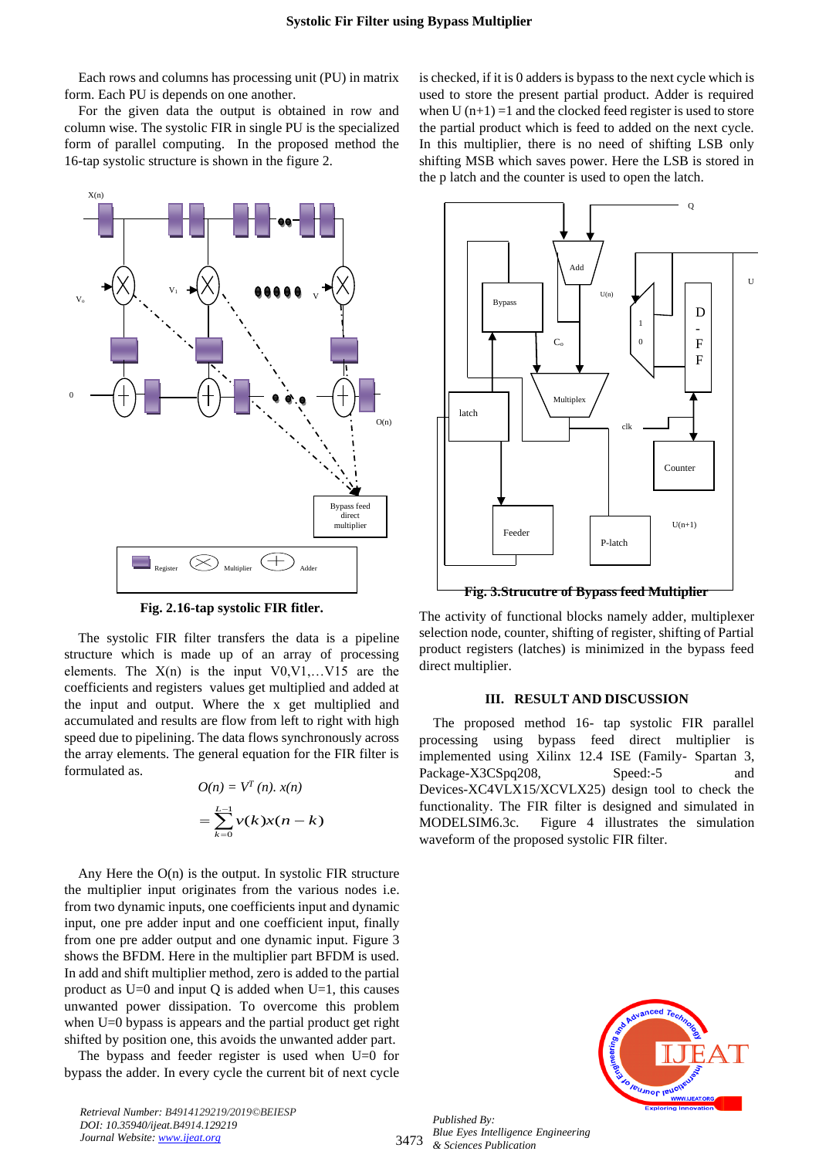Each rows and columns has processing unit (PU) in matrix form. Each PU is depends on one another.

For the given data the output is obtained in row and column wise. The systolic FIR in single PU is the specialized form of parallel computing. In the proposed method the 16-tap systolic structure is shown in the figure 2.



**Fig. 2.16-tap systolic FIR fitler.**

The systolic FIR filter transfers the data is a pipeline structure which is made up of an array of processing elements. The  $X(n)$  is the input  $V0, V1, \ldots, V15$  are the coefficients and registers values get multiplied and added at the input and output. Where the x get multiplied and accumulated and results are flow from left to right with high speed due to pipelining. The data flows synchronously across the array elements. The general equation for the FIR filter is formulated as.

$$
O(n) = VT (n). x(n)
$$

$$
= \sum_{k=0}^{L-1} v(k)x(n-k)
$$

Any Here the  $O(n)$  is the output. In systolic FIR structure the multiplier input originates from the various nodes i.e. from two dynamic inputs, one coefficients input and dynamic input, one pre adder input and one coefficient input, finally from one pre adder output and one dynamic input. Figure 3 shows the BFDM. Here in the multiplier part BFDM is used. In add and shift multiplier method, zero is added to the partial product as  $U=0$  and input Q is added when  $U=1$ , this causes unwanted power dissipation. To overcome this problem when U=0 bypass is appears and the partial product get right shifted by position one, this avoids the unwanted adder part.

The bypass and feeder register is used when U=0 for bypass the adder. In every cycle the current bit of next cycle is checked, if it is 0 adders is bypass to the next cycle which is used to store the present partial product. Adder is required when  $U(n+1) = 1$  and the clocked feed register is used to store the partial product which is feed to added on the next cycle. In this multiplier, there is no need of shifting LSB only shifting MSB which saves power. Here the LSB is stored in the p latch and the counter is used to open the latch.



The activity of functional blocks namely adder, multiplexer selection node, counter, shifting of register, shifting of Partial product registers (latches) is minimized in the bypass feed direct multiplier.

# **III. RESULT AND DISCUSSION**

The proposed method 16- tap systolic FIR parallel processing using bypass feed direct multiplier is implemented using Xilinx 12.4 ISE (Family- Spartan 3, Package-X3CSpq208, Speed:-5 and Devices-XC4VLX15/XCVLX25) design tool to check the functionality. The FIR filter is designed and simulated in MODELSIM6.3c. Figure 4 illustrates the simulation waveform of the proposed systolic FIR filter.



*Retrieval Number: B4914129219/2019©BEIESP DOI: 10.35940/ijeat.B4914.129219 Journal Website[: www.ijeat.org](http://www.ijeat.org/)*

3473 *Published By: Blue Eyes Intelligence Engineering & Sciences Publication*